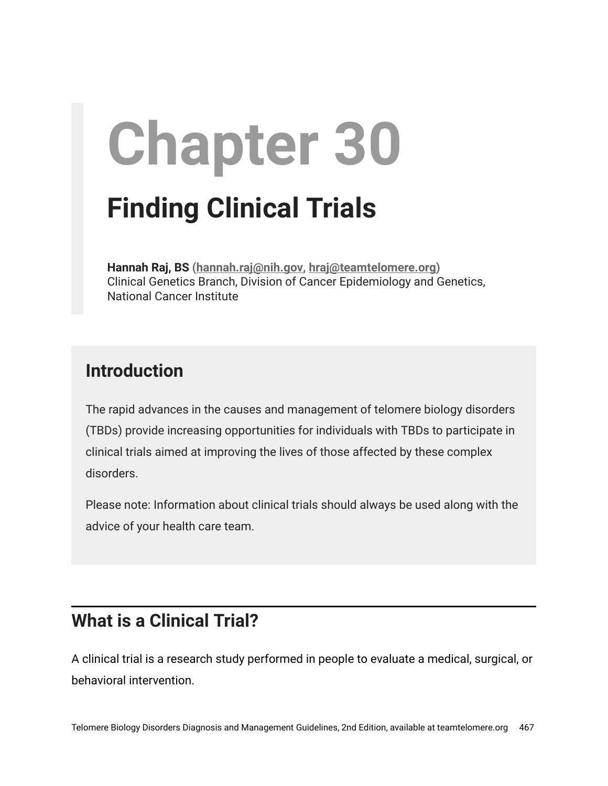# **Chapter 30 Finding Clinical Trials**

**Hannah Raj, BS (hannah.raj[@nih.gov](mailto:hraj@nih.gov), [hraj@teamtelomere.org\)](mailto:hraj@teamtelomere.org)** Clinical Genetics Branch, Division of Cancer Epidemiology and Genetics, National Cancer Institute

## **Introduction**

The rapid advances in the causes and management of telomere biology disorders (TBDs) provide increasing opportunities for individuals with TBDs to participate in clinical trials aimed at improving the lives of those affected by these complex disorders.

Please note: Information about clinical trials should always be used along with the advice of your health care team.

## **What is a Clinical Trial?**

A clinical trial is a research study performed in people to evaluate a medical, surgical, or behavioral intervention.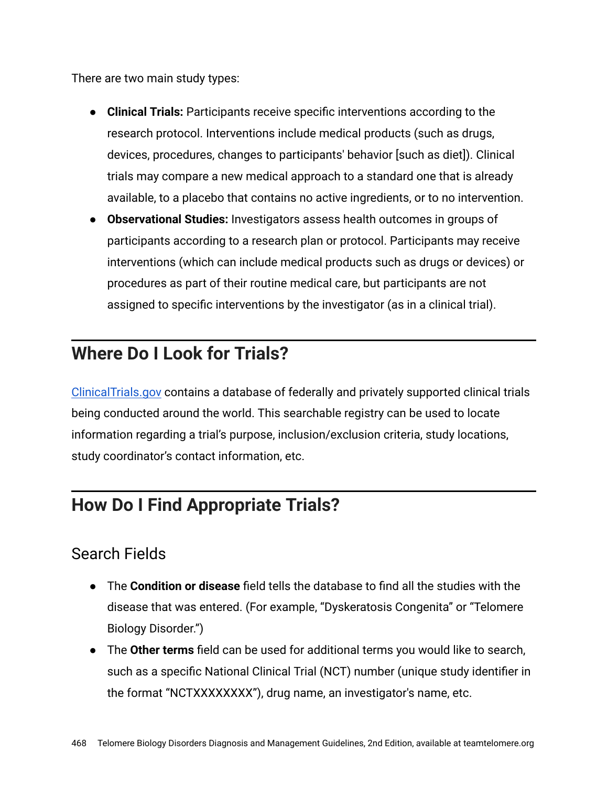There are two main study types:

- **Clinical Trials:** Participants receive specific interventions according to the research protocol. Interventions include medical products (such as drugs, devices, procedures, changes to participants' behavior [such as diet]). Clinical trials may compare a new medical approach to a standard one that is already available, to a placebo that contains no active ingredients, or to no intervention.
- **Observational Studies:** Investigators assess health outcomes in groups of participants according to a research plan or protocol. Participants may receive interventions (which can include medical products such as drugs or devices) or procedures as part of their routine medical care, but participants are not assigned to specific interventions by the investigator (as in a clinical trial).

## **Where Do I Look for Trials?**

[ClinicalTrials.gov](https://clinicaltrials.gov/) contains a database of federally and privately supported clinical trials being conducted around the world. This searchable registry can be used to locate information regarding a trial's purpose, inclusion/exclusion criteria, study locations, study coordinator's contact information, etc.

# **How Do I Find Appropriate Trials?**

#### Search Fields

- The **Condition or disease** field tells the database to find all the studies with the disease that was entered. (For example, "Dyskeratosis Congenita" or "Telomere Biology Disorder.")
- The **Other terms** field can be used for additional terms you would like to search, such as a specific National Clinical Trial (NCT) number (unique study identifier in the format "NCTXXXXXXXX"), drug name, an investigator's name, etc.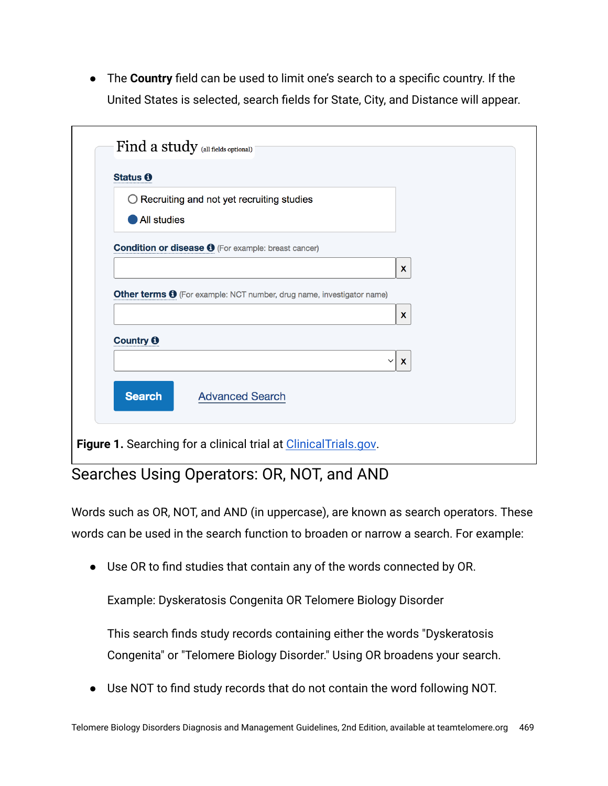● The **Country** field can be used to limit one's search to a specific country. If the United States is selected, search fields for State, City, and Distance will appear.

| Status <sub>0</sub> | $\bigcirc$ Recruiting and not yet recruiting studies                         |                              |  |
|---------------------|------------------------------------------------------------------------------|------------------------------|--|
| <b>All studies</b>  |                                                                              |                              |  |
|                     |                                                                              |                              |  |
|                     | <b>Condition or disease +</b> (For example: breast cancer)                   |                              |  |
|                     |                                                                              | $\mathbf{x}$                 |  |
|                     |                                                                              |                              |  |
|                     |                                                                              |                              |  |
|                     | Other terms $\Theta$ (For example: NCT number, drug name, investigator name) |                              |  |
|                     |                                                                              | X                            |  |
|                     |                                                                              |                              |  |
| Country <b>O</b>    |                                                                              | $\mathbf{x}$<br>$\checkmark$ |  |
|                     |                                                                              |                              |  |

## Searches Using Operators: OR, NOT, and AND

Words such as OR, NOT, and AND (in uppercase), are known as search operators. These words can be used in the search function to broaden or narrow a search. For example:

● Use OR to find studies that contain any of the words connected by OR.

Example: Dyskeratosis Congenita OR Telomere Biology Disorder

This search finds study records containing either the words "Dyskeratosis Congenita" or "Telomere Biology Disorder." Using OR broadens your search.

● Use NOT to find study records that do not contain the word following NOT.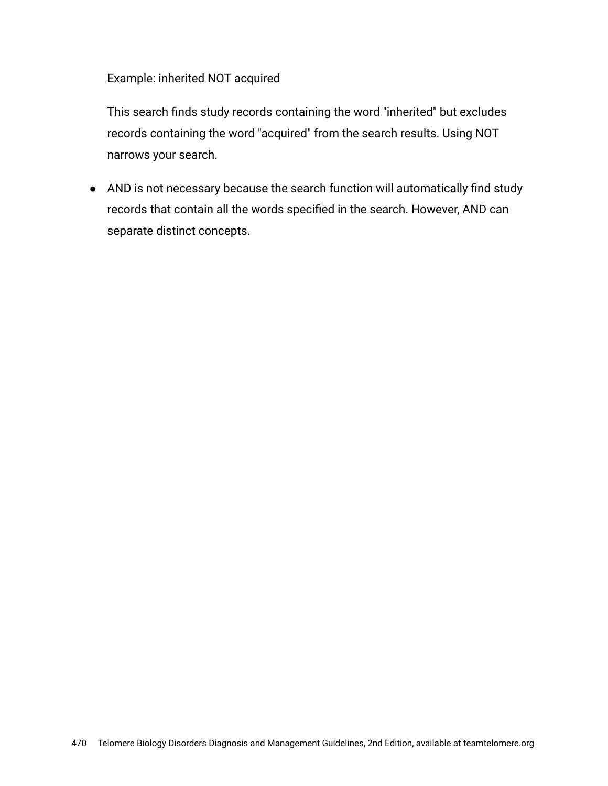Example: inherited NOT acquired

This search finds study records containing the word "inherited" but excludes records containing the word "acquired" from the search results. Using NOT narrows your search.

● AND is not necessary because the search function will automatically find study records that contain all the words specified in the search. However, AND can separate distinct concepts.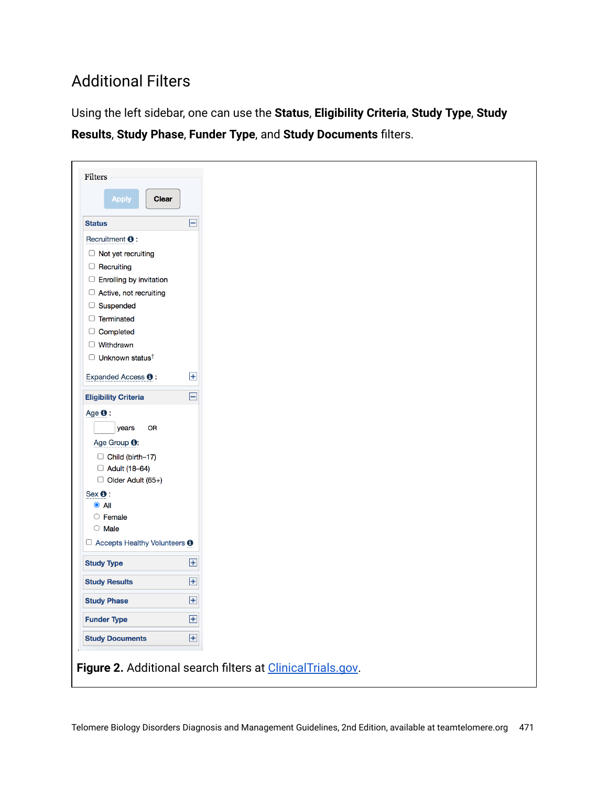## Additional Filters

Using the left sidebar, one can use the **Status**, **Eligibility Criteria**, **Study Type**, **Study Results**, **Study Phase**, **Funder Type**, and **Study Documents** filters.

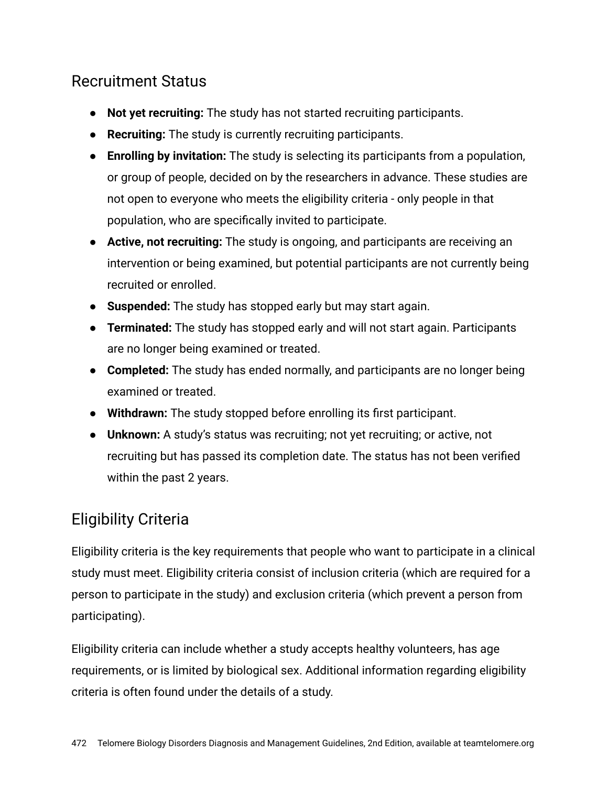#### Recruitment Status

- **Not yet recruiting:** The study has not started recruiting participants.
- **Recruiting:** The study is currently recruiting participants.
- **Enrolling by invitation:** The study is selecting its participants from a population, or group of people, decided on by the researchers in advance. These studies are not open to everyone who meets the eligibility criteria - only people in that population, who are specifically invited to participate.
- **Active, not recruiting:** The study is ongoing, and participants are receiving an intervention or being examined, but potential participants are not currently being recruited or enrolled.
- **Suspended:** The study has stopped early but may start again.
- **Terminated:** The study has stopped early and will not start again. Participants are no longer being examined or treated.
- **Completed:** The study has ended normally, and participants are no longer being examined or treated.
- **Withdrawn:** The study stopped before enrolling its first participant.
- **Unknown:** A study's status was recruiting; not yet recruiting; or active, not recruiting but has passed its completion date. The status has not been verified within the past 2 years.

## Eligibility Criteria

Eligibility criteria is the key requirements that people who want to participate in a clinical study must meet. Eligibility criteria consist of inclusion criteria (which are required for a person to participate in the study) and exclusion criteria (which prevent a person from participating).

Eligibility criteria can include whether a study accepts healthy volunteers, has age requirements, or is limited by biological sex. Additional information regarding eligibility criteria is often found under the details of a study.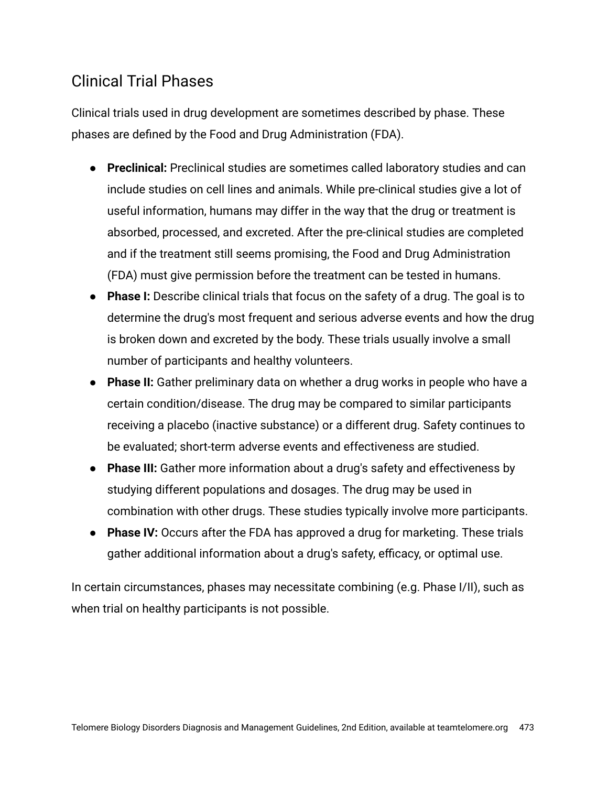#### Clinical Trial Phases

Clinical trials used in drug development are sometimes described by phase. These phases are defined by the Food and Drug Administration (FDA).

- **Preclinical:** Preclinical studies are sometimes called laboratory studies and can include studies on cell lines and animals. While pre-clinical studies give a lot of useful information, humans may differ in the way that the drug or treatment is absorbed, processed, and excreted. After the pre-clinical studies are completed and if the treatment still seems promising, the Food and Drug Administration (FDA) must give permission before the treatment can be tested in humans.
- **Phase I:** Describe clinical trials that focus on the safety of a drug. The goal is to determine the drug's most frequent and serious adverse events and how the drug is broken down and excreted by the body. These trials usually involve a small number of participants and healthy volunteers.
- **Phase II:** Gather preliminary data on whether a drug works in people who have a certain condition/disease. The drug may be compared to similar participants receiving a placebo (inactive substance) or a different drug. Safety continues to be evaluated; short-term adverse events and effectiveness are studied.
- **Phase III:** Gather more information about a drug's safety and effectiveness by studying different populations and dosages. The drug may be used in combination with other drugs. These studies typically involve more participants.
- **Phase IV:** Occurs after the FDA has approved a drug for marketing. These trials gather additional information about a drug's safety, efficacy, or optimal use.

In certain circumstances, phases may necessitate combining (e.g. Phase I/II), such as when trial on healthy participants is not possible.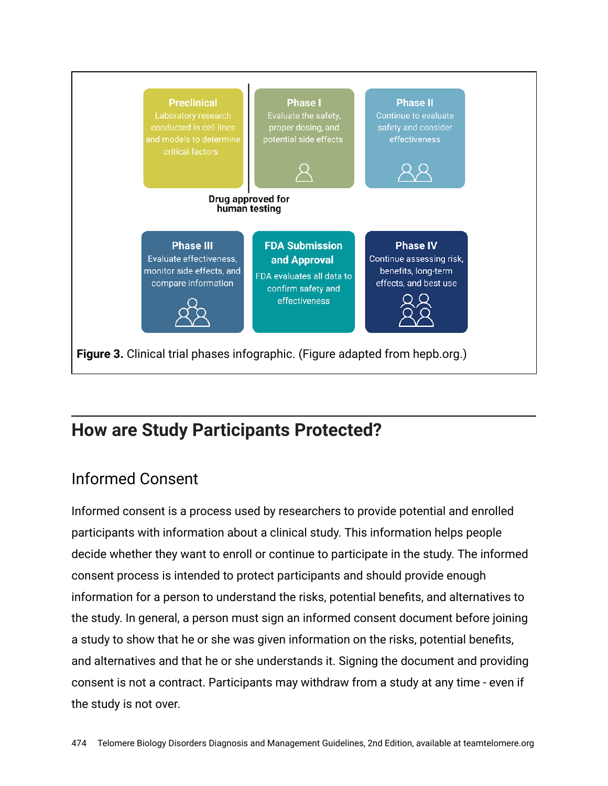

# **How are Study Participants Protected?**

### Informed Consent

Informed consent is a process used by researchers to provide potential and enrolled participants with information about a clinical study. This information helps people decide whether they want to enroll or continue to participate in the study. The informed consent process is intended to protect participants and should provide enough information for a person to understand the risks, potential benefits, and alternatives to the study. In general, a person must sign an informed consent document before joining a study to show that he or she was given information on the risks, potential benefits, and alternatives and that he or she understands it. Signing the document and providing consent is not a contract. Participants may withdraw from a study at any time - even if the study is not over.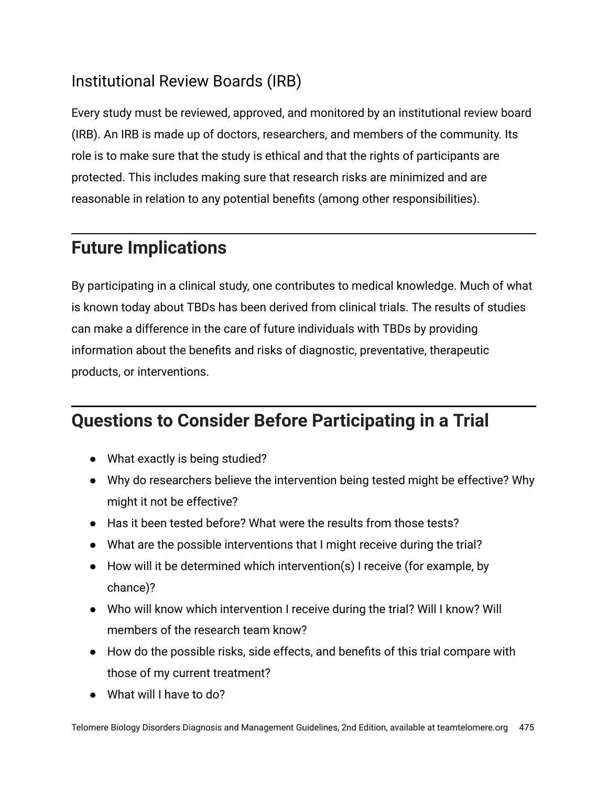### Institutional Review Boards (IRB)

Every study must be reviewed, approved, and monitored by an institutional review board (IRB). An IRB is made up of doctors, researchers, and members of the community. Its role is to make sure that the study is ethical and that the rights of participants are protected. This includes making sure that research risks are minimized and are reasonable in relation to any potential benefits (among other responsibilities).

# **Future Implications**

By participating in a clinical study, one contributes to medical knowledge. Much of what is known today about TBDs has been derived from clinical trials. The results of studies can make a difference in the care of future individuals with TBDs by providing information about the benefits and risks of diagnostic, preventative, therapeutic products, or interventions.

# **Questions to Consider Before Participating in a Trial**

- What exactly is being studied?
- Why do researchers believe the intervention being tested might be effective? Why might it not be effective?
- Has it been tested before? What were the results from those tests?
- What are the possible interventions that I might receive during the trial?
- How will it be determined which intervention(s) I receive (for example, by chance)?
- Who will know which intervention I receive during the trial? Will I know? Will members of the research team know?
- How do the possible risks, side effects, and benefits of this trial compare with those of my current treatment?
- What will I have to do?